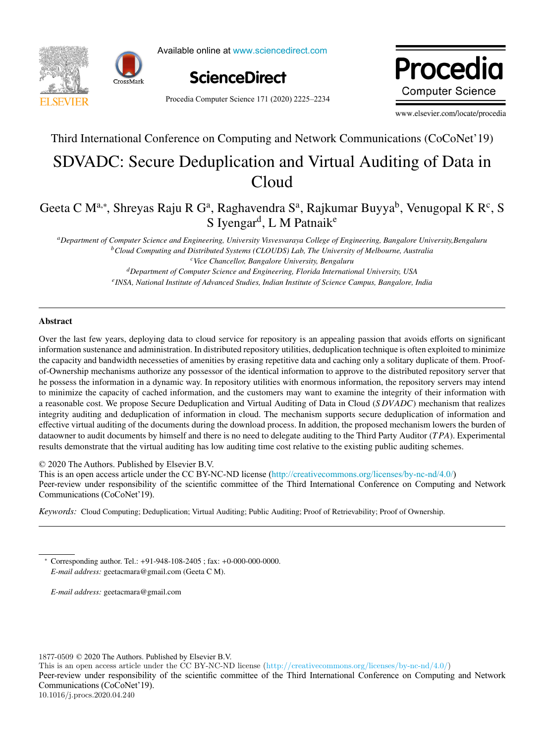



Available online at www.sciencedirect.com Available online at www.sciencedirect.com



Procedia Computer Science 171 (2020) 2225-2234

Procedia **Computer Science** www.elsevier.com/locate/procediate/procediate/procediate/procediate/procediate/procediate/procediate/procediate/

www.elsevier.com/locate/procedia

Third International Conference on Computing and Network Communications (CoCoNet'19) Third International Conference on Computing and Network Communications (CoCoNet'19)

# SDVADC: Secure Deduplication and Virtual Auditing of Data in Cloud SDVADC: Secure Deduplication and Virtual Auditing of Data in Cloud

Geeta C M<sup>a,∗</sup>, Shreyas Raju R G<sup>a</sup>, Raghavendra S<sup>a</sup>, Rajkumar Buyya<sup>b</sup>, Venugopal K R<sup>c</sup>, S ", Raghavenura S", Rajku<br>S Iyangar<sup>d,</sup> L M Datnail<sup>e</sup> *aDepartment of Computer Science and Engineering, University Visvesvaraya College of Engineering, Bangalore University,Bengaluru* S Iyengar<sup>d</sup>, L M Patnaik<sup>e</sup>

aDepartment of Computer Science and Engineering, University Visvesvaraya College of Engineering, Bangalore University,Bengaluru *cVice Chancellor, Bangalore University, Bengaluru bCloud Computing and Distributed Systems (CLOUDS) Lab, The University of Melbourne, Australia dDepartment of Computer Science and Engineering, Florida International University, USA cVice Chancellor, Bangalore University, Bengaluru eINSA, National Institute of Advanced Studies, Indian Institute of Science Campus, Bangalore, India dDepartment of Computer Science and Engineering, Florida International University, USA eINSA, National Institute of Advanced Studies, Indian Institute of Science Campus, Bangalore, India*

# Abstract

Over the last few years, deploying data to cloud service for repository is an appealing passion that avoids efforts on significant information sustenance and administration. In distributed repository utilities, deduplication technique is often exploited to minimize the capacity and bandwidth necesseties of amenities by erasing repetitive data and caching only a solitary duplicate of them. Proofof-Ownership mechanisms authorize any possessor of the identical information to approve to the distributed repository server that he possess the information in a dynamic way. In repository utilities with enormous information, the repository servers may intend to minimize the capacity of cached information, and the customers may want to examine the integrity of their information with a reasonable cost. We propose Secure Deduplication and Virtual Auditing of Data in Cloud (S DVADC) mechanism that realizes integrity auditing and deduplication of information in cloud. The mechanism supports secure deduplication of information and effective virtual auditing of the documents during the download process. In addition, the proposed mechanism lowers the burden of dataowner to audit documents by himself and there is no need to delegate auditing to the Third Party Auditor (TPA). Experimental results demonstrate that the virtual auditing has low auditing time cost relative to the existing public auditing schemes.

© 2020 The Authors. Published by Elsevier B.V.

This is an open access article under the CC BY-NC-ND license (http://creativecommons.org/licenses/by-nc-nd/4.0/) Peer-review under responsibility of the scientific committee of the Third International Conference on Computing and Network Communications (CoCoNet'19). Communications (CoCoNet'19).  $P$ eer-review under review  $P$  the scientific committee of the Third International Conference on Computing and Network Communications (CoCoNet'19).

*Keywords:* Cloud Computing; Deduplication; Virtual Auditing; Public Auditing; Proof of Retrievability; Proof of Ownership. *Keywords:* Cloud Computing; Deduplication; Virtual Auditing; Public Auditing; Proof of Retrievability; Proof of Ownership.

∗ Corresponding author. Tel.: +91-948-108-2405 ; fax: +0-000-000-0000. *E-mail address: geetacmara@gmail.com (Geeta CM).* 

*E-mail address:* geetacmara@gmail.com

1877-0509 © 2020 The Authors. Published by Elsevier B.V. 1877-0509 c 2020 The Authors. Published by Elsevier B.V.

*E-mail address:* geetacmara@gmail.com (Geeta C M).

This is an open access article under the CC BY-NC-ND license (http://creativecommons.org/licenses/by-nc-nd/4.0/)

Peer-review under responsibility of the scientific committee of the Third International Conference on Computing and Network **.** 

10.1016/j.procs.2020.04.240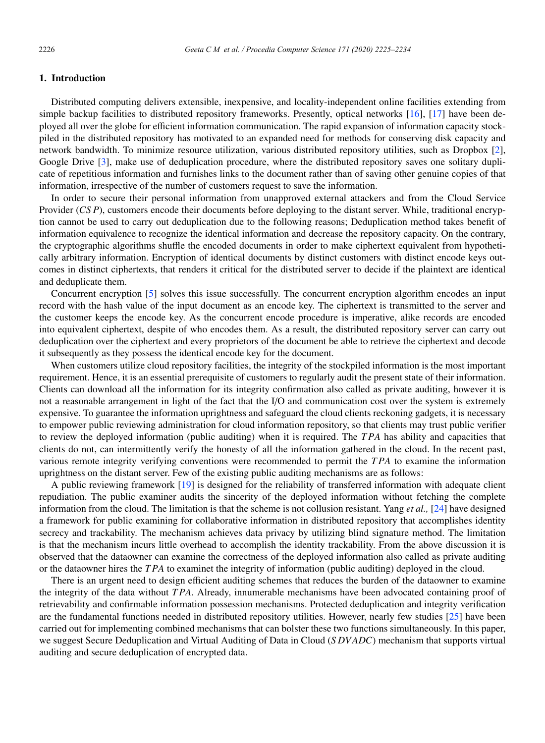# 1. Introduction

Distributed computing delivers extensible, inexpensive, and locality-independent online facilities extending from simple backup facilities to distributed repository frameworks. Presently, optical networks [16], [17] have been deployed all over the globe for efficient information communication. The rapid expansion of information capacity stockpiled in the distributed repository has motivated to an expanded need for methods for conserving disk capacity and network bandwidth. To minimize resource utilization, various distributed repository utilities, such as Dropbox [2], Google Drive [3], make use of deduplication procedure, where the distributed repository saves one solitary duplicate of repetitious information and furnishes links to the document rather than of saving other genuine copies of that information, irrespective of the number of customers request to save the information.

In order to secure their personal information from unapproved external attackers and from the Cloud Service Provider (*CS P*), customers encode their documents before deploying to the distant server. While, traditional encryption cannot be used to carry out deduplication due to the following reasons; Deduplication method takes benefit of information equivalence to recognize the identical information and decrease the repository capacity. On the contrary, the cryptographic algorithms shuffle the encoded documents in order to make ciphertext equivalent from hypothetically arbitrary information. Encryption of identical documents by distinct customers with distinct encode keys outcomes in distinct ciphertexts, that renders it critical for the distributed server to decide if the plaintext are identical and deduplicate them.

Concurrent encryption [5] solves this issue successfully. The concurrent encryption algorithm encodes an input record with the hash value of the input document as an encode key. The ciphertext is transmitted to the server and the customer keeps the encode key. As the concurrent encode procedure is imperative, alike records are encoded into equivalent ciphertext, despite of who encodes them. As a result, the distributed repository server can carry out deduplication over the ciphertext and every proprietors of the document be able to retrieve the ciphertext and decode it subsequently as they possess the identical encode key for the document.

When customers utilize cloud repository facilities, the integrity of the stockpiled information is the most important requirement. Hence, it is an essential prerequisite of customers to regularly audit the present state of their information. Clients can download all the information for its integrity confirmation also called as private auditing, however it is not a reasonable arrangement in light of the fact that the I/O and communication cost over the system is extremely expensive. To guarantee the information uprightness and safeguard the cloud clients reckoning gadgets, it is necessary to empower public reviewing administration for cloud information repository, so that clients may trust public verifier to review the deployed information (public auditing) when it is required. The *TPA* has ability and capacities that clients do not, can intermittently verify the honesty of all the information gathered in the cloud. In the recent past, various remote integrity verifying conventions were recommended to permit the *TPA* to examine the information uprightness on the distant server. Few of the existing public auditing mechanisms are as follows:

A public reviewing framework [19] is designed for the reliability of transferred information with adequate client repudiation. The public examiner audits the sincerity of the deployed information without fetching the complete information from the cloud. The limitation is that the scheme is not collusion resistant. Yang *et al.,* [24] have designed a framework for public examining for collaborative information in distributed repository that accomplishes identity secrecy and trackability. The mechanism achieves data privacy by utilizing blind signature method. The limitation is that the mechanism incurs little overhead to accomplish the identity trackability. From the above discussion it is observed that the dataowner can examine the correctness of the deployed information also called as private auditing or the dataowner hires the *TPA* to examinet the integrity of information (public auditing) deployed in the cloud.

There is an urgent need to design efficient auditing schemes that reduces the burden of the dataowner to examine the integrity of the data without *TPA*. Already, innumerable mechanisms have been advocated containing proof of retrievability and confirmable information possession mechanisms. Protected deduplication and integrity verification are the fundamental functions needed in distributed repository utilities. However, nearly few studies [25] have been carried out for implementing combined mechanisms that can bolster these two functions simultaneously. In this paper, we suggest Secure Deduplication and Virtual Auditing of Data in Cloud (*S DVADC*) mechanism that supports virtual auditing and secure deduplication of encrypted data.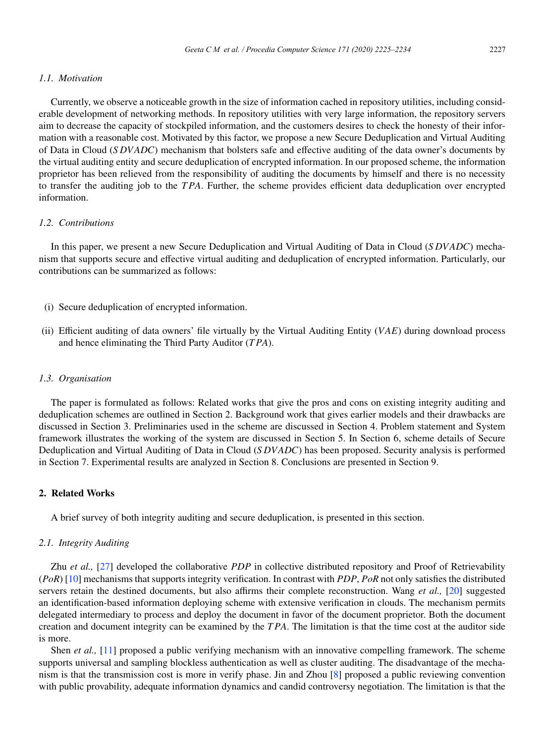# *1.1. Motivation*

Currently, we observe a noticeable growth in the size of information cached in repository utilities, including considerable development of networking methods. In repository utilities with very large information, the repository servers aim to decrease the capacity of stockpiled information, and the customers desires to check the honesty of their information with a reasonable cost. Motivated by this factor, we propose a new Secure Deduplication and Virtual Auditing of Data in Cloud (*S DVADC*) mechanism that bolsters safe and effective auditing of the data owner's documents by the virtual auditing entity and secure deduplication of encrypted information. In our proposed scheme, the information proprietor has been relieved from the responsibility of auditing the documents by himself and there is no necessity to transfer the auditing job to the *TPA*. Further, the scheme provides efficient data deduplication over encrypted information.

## *1.2. Contributions*

In this paper, we present a new Secure Deduplication and Virtual Auditing of Data in Cloud (*S DVADC*) mechanism that supports secure and effective virtual auditing and deduplication of encrypted information. Particularly, our contributions can be summarized as follows:

- (i) Secure deduplication of encrypted information.
- (ii) Efficient auditing of data owners' file virtually by the Virtual Auditing Entity (*VAE*) during download process and hence eliminating the Third Party Auditor (*TPA*).

### *1.3. Organisation*

The paper is formulated as follows: Related works that give the pros and cons on existing integrity auditing and deduplication schemes are outlined in Section 2. Background work that gives earlier models and their drawbacks are discussed in Section 3. Preliminaries used in the scheme are discussed in Section 4. Problem statement and System framework illustrates the working of the system are discussed in Section 5. In Section 6, scheme details of Secure Deduplication and Virtual Auditing of Data in Cloud (*S DVADC*) has been proposed. Security analysis is performed in Section 7. Experimental results are analyzed in Section 8. Conclusions are presented in Section 9.

## 2. Related Works

A brief survey of both integrity auditing and secure deduplication, is presented in this section.

#### *2.1. Integrity Auditing*

Zhu *et al.,* [27] developed the collaborative *PDP* in collective distributed repository and Proof of Retrievability (*PoR*) [10] mechanisms that supports integrity verification. In contrast with *PDP*, *PoR* not only satisfies the distributed servers retain the destined documents, but also affirms their complete reconstruction. Wang *et al.,* [20] suggested an identification-based information deploying scheme with extensive verification in clouds. The mechanism permits delegated intermediary to process and deploy the document in favor of the document proprietor. Both the document creation and document integrity can be examined by the *TPA*. The limitation is that the time cost at the auditor side is more.

Shen *et al.*, [11] proposed a public verifying mechanism with an innovative compelling framework. The scheme supports universal and sampling blockless authentication as well as cluster auditing. The disadvantage of the mechanism is that the transmission cost is more in verify phase. Jin and Zhou [8] proposed a public reviewing convention with public provability, adequate information dynamics and candid controversy negotiation. The limitation is that the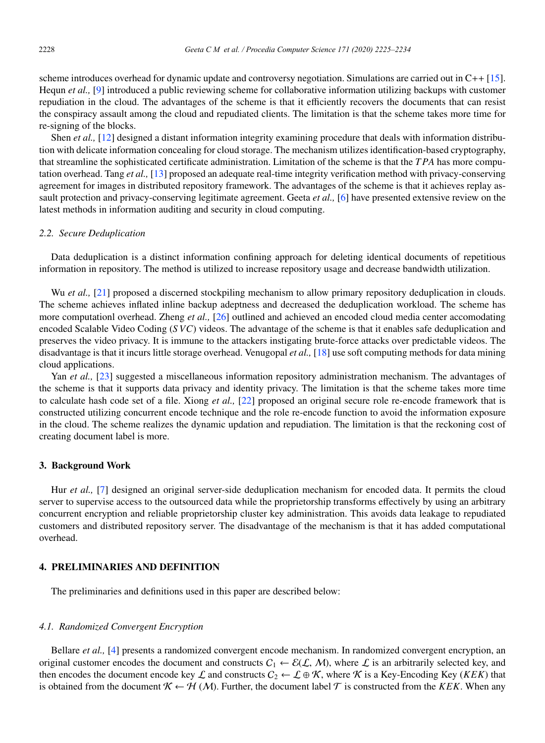scheme introduces overhead for dynamic update and controversy negotiation. Simulations are carried out in C++ [15]. Hequn *et al.,* [9] introduced a public reviewing scheme for collaborative information utilizing backups with customer repudiation in the cloud. The advantages of the scheme is that it efficiently recovers the documents that can resist the conspiracy assault among the cloud and repudiated clients. The limitation is that the scheme takes more time for re-signing of the blocks.

Shen *et al.,* [12] designed a distant information integrity examining procedure that deals with information distribution with delicate information concealing for cloud storage. The mechanism utilizes identification-based cryptography, that streamline the sophisticated certificate administration. Limitation of the scheme is that the *TPA* has more computation overhead. Tang *et al.,* [13] proposed an adequate real-time integrity verification method with privacy-conserving agreement for images in distributed repository framework. The advantages of the scheme is that it achieves replay assault protection and privacy-conserving legitimate agreement. Geeta *et al.,* [6] have presented extensive review on the latest methods in information auditing and security in cloud computing.

# *2.2. Secure Deduplication*

Data deduplication is a distinct information confining approach for deleting identical documents of repetitious information in repository. The method is utilized to increase repository usage and decrease bandwidth utilization.

Wu *et al.*, [21] proposed a discerned stockpiling mechanism to allow primary repository deduplication in clouds. The scheme achieves inflated inline backup adeptness and decreased the deduplication workload. The scheme has more computationl overhead. Zheng *et al.,* [26] outlined and achieved an encoded cloud media center accomodating encoded Scalable Video Coding (*SVC*) videos. The advantage of the scheme is that it enables safe deduplication and preserves the video privacy. It is immune to the attackers instigating brute-force attacks over predictable videos. The disadvantage is that it incurs little storage overhead. Venugopal *et al.,* [18] use soft computing methods for data mining cloud applications.

Yan *et al.*, [23] suggested a miscellaneous information repository administration mechanism. The advantages of the scheme is that it supports data privacy and identity privacy. The limitation is that the scheme takes more time to calculate hash code set of a file. Xiong *et al.,* [22] proposed an original secure role re-encode framework that is constructed utilizing concurrent encode technique and the role re-encode function to avoid the information exposure in the cloud. The scheme realizes the dynamic updation and repudiation. The limitation is that the reckoning cost of creating document label is more.

## 3. Background Work

Hur *et al.*, [7] designed an original server-side deduplication mechanism for encoded data. It permits the cloud server to supervise access to the outsourced data while the proprietorship transforms effectively by using an arbitrary concurrent encryption and reliable proprietorship cluster key administration. This avoids data leakage to repudiated customers and distributed repository server. The disadvantage of the mechanism is that it has added computational overhead.

## 4. PRELIMINARIES AND DEFINITION

The preliminaries and definitions used in this paper are described below:

### *4.1. Randomized Convergent Encryption*

Bellare *et al.,* [4] presents a randomized convergent encode mechanism. In randomized convergent encryption, an original customer encodes the document and constructs  $C_1 \leftarrow \mathcal{E}(\mathcal{L}, \mathcal{M})$ , where  $\mathcal{L}$  is an arbitrarily selected key, and then encodes the document encode key L and constructs  $C_2 \leftarrow L \oplus K$ , where K is a Key-Encoding Key (*KEK*) that is obtained from the document  $\mathcal{K} \leftarrow \mathcal{H}(\mathcal{M})$ . Further, the document label  $\mathcal{T}$  is constructed from the *KEK*. When any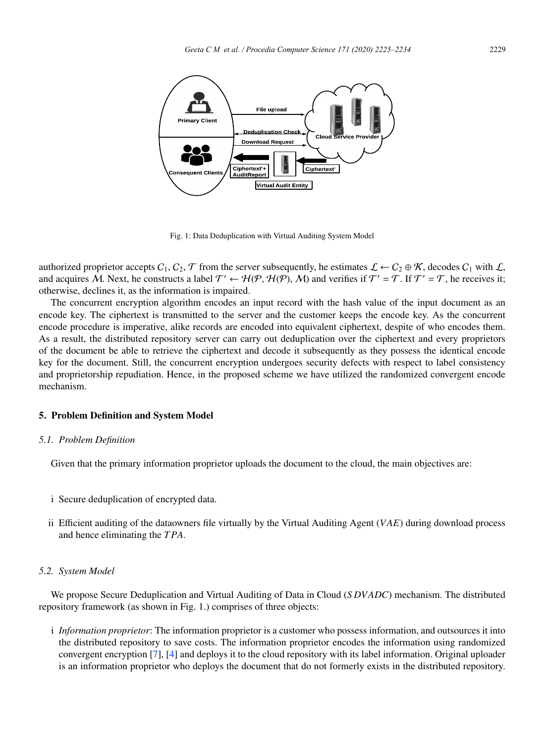

Fig. 1: Data Deduplication with Virtual Auditing System Model

authorized proprietor accepts  $C_1$ ,  $C_2$ ,  $\mathcal T$  from the server subsequently, he estimates  $\mathcal L \leftarrow C_2 \oplus \mathcal K$ , decodes  $C_1$  with  $\mathcal L$ , and acquires M. Next, he constructs a label  $\mathcal{T}' \leftarrow \mathcal{H}(\mathcal{P}, \mathcal{H}(\mathcal{P}), \mathcal{M})$  and verifies if  $\mathcal{T}' = \mathcal{T}$ . If  $\mathcal{T}' = \mathcal{T}$ , he receives it; otherwise, declines it, as the information is impaired.

The concurrent encryption algorithm encodes an input record with the hash value of the input document as an encode key. The ciphertext is transmitted to the server and the customer keeps the encode key. As the concurrent encode procedure is imperative, alike records are encoded into equivalent ciphertext, despite of who encodes them. As a result, the distributed repository server can carry out deduplication over the ciphertext and every proprietors of the document be able to retrieve the ciphertext and decode it subsequently as they possess the identical encode key for the document. Still, the concurrent encryption undergoes security defects with respect to label consistency and proprietorship repudiation. Hence, in the proposed scheme we have utilized the randomized convergent encode mechanism.

#### 5. Problem Definition and System Model

#### *5.1. Problem Definition*

Given that the primary information proprietor uploads the document to the cloud, the main objectives are:

- i Secure deduplication of encrypted data.
- ii Efficient auditing of the dataowners file virtually by the Virtual Auditing Agent (*VAE*) during download process and hence eliminating the *TPA*.

### *5.2. System Model*

We propose Secure Deduplication and Virtual Auditing of Data in Cloud (*S DVADC*) mechanism. The distributed repository framework (as shown in Fig. 1.) comprises of three objects:

i *Information proprietor*: The information proprietor is a customer who possess information, and outsources it into the distributed repository to save costs. The information proprietor encodes the information using randomized convergent encryption [7], [4] and deploys it to the cloud repository with its label information. Original uploader is an information proprietor who deploys the document that do not formerly exists in the distributed repository.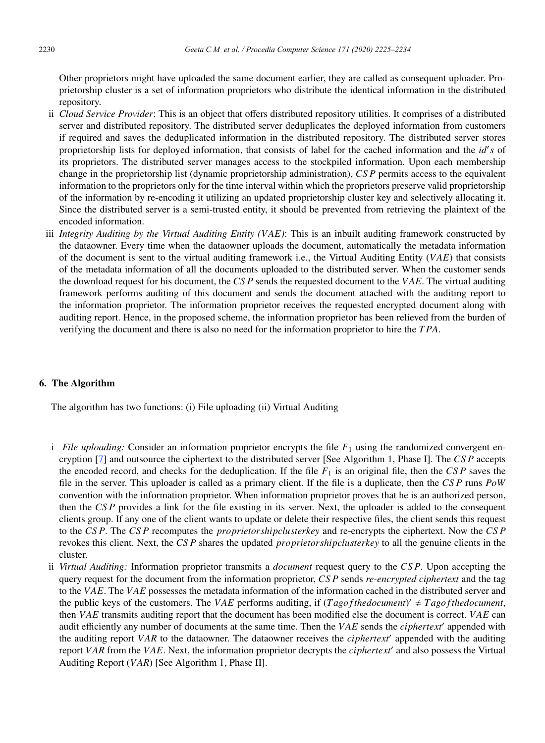Other proprietors might have uploaded the same document earlier, they are called as consequent uploader. Proprietorship cluster is a set of information proprietors who distribute the identical information in the distributed repository.

- ii *Cloud Service Provider*: This is an object that offers distributed repository utilities. It comprises of a distributed server and distributed repository. The distributed server deduplicates the deployed information from customers if required and saves the deduplicated information in the distributed repository. The distributed server stores proprietorship lists for deployed information, that consists of label for the cached information and the *id s* of its proprietors. The distributed server manages access to the stockpiled information. Upon each membership change in the proprietorship list (dynamic proprietorship administration), *CS P* permits access to the equivalent information to the proprietors only for the time interval within which the proprietors preserve valid proprietorship of the information by re-encoding it utilizing an updated proprietorship cluster key and selectively allocating it. Since the distributed server is a semi-trusted entity, it should be prevented from retrieving the plaintext of the encoded information.
- iii *Integrity Auditing by the Virtual Auditing Entity (VAE)*: This is an inbuilt auditing framework constructed by the dataowner. Every time when the dataowner uploads the document, automatically the metadata information of the document is sent to the virtual auditing framework i.e., the Virtual Auditing Entity (*VAE*) that consists of the metadata information of all the documents uploaded to the distributed server. When the customer sends the download request for his document, the *CS P* sends the requested document to the *VAE*. The virtual auditing framework performs auditing of this document and sends the document attached with the auditing report to the information proprietor. The information proprietor receives the requested encrypted document along with auditing report. Hence, in the proposed scheme, the information proprietor has been relieved from the burden of verifying the document and there is also no need for the information proprietor to hire the *TPA*.

# 6. The Algorithm

The algorithm has two functions: (i) File uploading (ii) Virtual Auditing

- i *File uploading:* Consider an information proprietor encrypts the file  $F_1$  using the randomized convergent encryption [7] and outsource the ciphertext to the distributed server [See Algorithm 1, Phase I]. The *CS P* accepts the encoded record, and checks for the deduplication. If the file  $F_1$  is an original file, then the *CSP* saves the file in the server. This uploader is called as a primary client. If the file is a duplicate, then the *CS P* runs *PoW* convention with the information proprietor. When information proprietor proves that he is an authorized person, then the *CS P* provides a link for the file existing in its server. Next, the uploader is added to the consequent clients group. If any one of the client wants to update or delete their respective files, the client sends this request to the *CS P*. The *CS P* recomputes the *proprietorshipclusterkey* and re-encrypts the ciphertext. Now the *CS P* revokes this client. Next, the *CS P* shares the updated *proprietorshipclusterkey* to all the genuine clients in the cluster.
- ii *Virtual Auditing:* Information proprietor transmits a *document* request query to the *CS P*. Upon accepting the query request for the document from the information proprietor, *CS P* sends *re-encrypted ciphertext* and the tag to the *VAE*. The *VAE* possesses the metadata information of the information cached in the distributed server and the public keys of the customers. The *VAE* performs auditing, if  $(Tagof the document)' \neq Tagof the document$ , then *VAE* transmits auditing report that the document has been modified else the document is correct. *VAE* can audit efficiently any number of documents at the same time. Then the *VAE* sends the *ciphertext* appended with the auditing report *VAR* to the dataowner. The dataowner receives the *ciphertext* appended with the auditing report *VAR* from the *VAE*. Next, the information proprietor decrypts the *ciphertext* and also possess the Virtual Auditing Report (*VAR*) [See Algorithm 1, Phase II].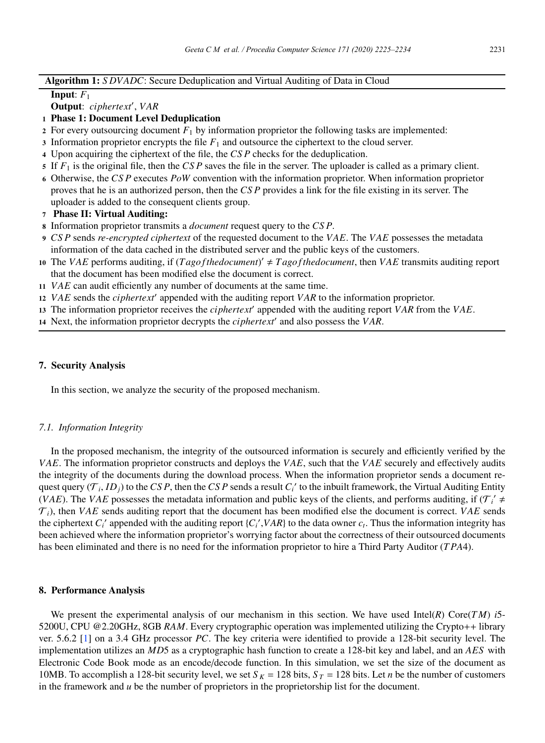# Algorithm 1: *S DVADC*: Secure Deduplication and Virtual Auditing of Data in Cloud

**Input:**  $F_1$ 

# Output: *ciphertext* , *VAR*

# 1 Phase 1: Document Level Deduplication

- 2 For every outsourcing document  $F_1$  by information proprietor the following tasks are implemented:
- 3 Information proprietor encrypts the file  $F_1$  and outsource the ciphertext to the cloud server.
- <sup>4</sup> Upon acquiring the ciphertext of the file, the *CS P* checks for the deduplication.
- 5 If  $F_1$  is the original file, then the *CSP* saves the file in the server. The uploader is called as a primary client.
- <sup>6</sup> Otherwise, the *CS P* executes *PoW* convention with the information proprietor. When information proprietor proves that he is an authorized person, then the *CS P* provides a link for the file existing in its server. The uploader is added to the consequent clients group.
- 7 Phase II: Virtual Auditing:
- <sup>8</sup> Information proprietor transmits a *document* request query to the *CS P*.
- <sup>9</sup> *CS P* sends *re-encrypted ciphertext* of the requested document to the *VAE*. The *VAE* possesses the metadata information of the data cached in the distributed server and the public keys of the customers.
- 10 The *VAE* performs auditing, if  $(Tagof the document)' \neq Tagof the document$ , then *VAE* transmits auditing report that the document has been modified else the document is correct.
- <sup>11</sup> *VAE* can audit efficiently any number of documents at the same time.
- <sup>12</sup> *VAE* sends the *ciphertext* appended with the auditing report *VAR* to the information proprietor.
- <sup>13</sup> The information proprietor receives the *ciphertext* appended with the auditing report *VAR* from the *VAE*.
- <sup>14</sup> Next, the information proprietor decrypts the *ciphertext* and also possess the *VAR*.

## 7. Security Analysis

In this section, we analyze the security of the proposed mechanism.

## *7.1. Information Integrity*

In the proposed mechanism, the integrity of the outsourced information is securely and efficiently verified by the *VAE*. The information proprietor constructs and deploys the *VAE*, such that the *VAE* securely and effectively audits the integrity of the documents during the download process. When the information proprietor sends a document request query  $(\mathcal{T}_i, ID_j)$  to the *CS P*, then the *CS P* sends a result  $C_i'$  to the inbuilt framework, the Virtual Auditing Entity (*VAE*). The *VAE* possesses the metadata information and public keys of the clients, and performs auditing, if ( $\mathcal{T}_i' \neq$ T*i*), then *VAE* sends auditing report that the document has been modified else the document is correct. *VAE* sends the ciphertext  $C_i'$  appended with the auditing report  $\{C_i',VAR\}$  to the data owner  $c_t$ . Thus the information integrity has been achieved where the information proprietor's worrying factor about the correctness of their outsourced documents has been eliminated and there is no need for the information proprietor to hire a Third Party Auditor (*TPA*4).

# 8. Performance Analysis

We present the experimental analysis of our mechanism in this section. We have used Intel(*R*) Core(*TM*) *i*5-5200U, CPU @2.20GHz, 8GB *RAM*. Every cryptographic operation was implemented utilizing the Crypto++ library ver. 5.6.2 [1] on a 3.4 GHz processor *PC*. The key criteria were identified to provide a 128-bit security level. The implementation utilizes an *MD*5 as a cryptographic hash function to create a 128-bit key and label, and an *AES* with Electronic Code Book mode as an encode/decode function. In this simulation, we set the size of the document as 10MB. To accomplish a 128-bit security level, we set  $S_K = 128$  bits,  $S_T = 128$  bits. Let *n* be the number of customers in the framework and  $u$  be the number of proprietors in the proprietorship list for the document.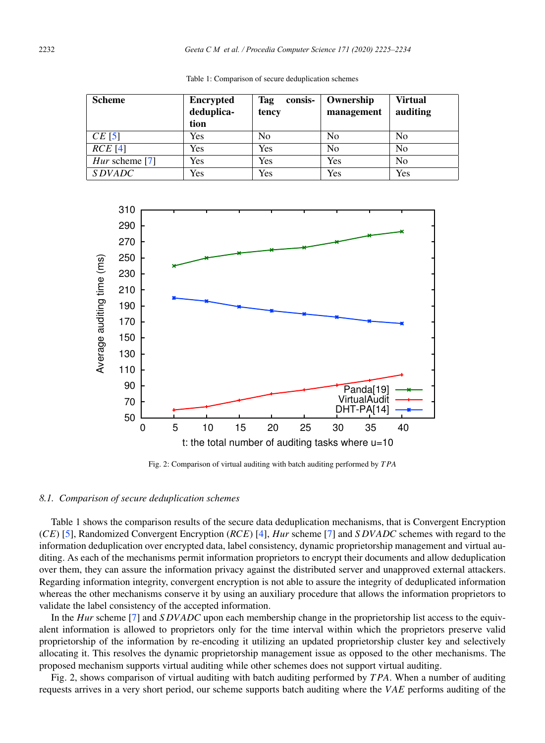| <b>Scheme</b>           | <b>Encrypted</b><br>deduplica-<br>tion | <b>Tag</b><br>consis-<br>tency | Ownership<br>management | <b>Virtual</b><br>auditing |
|-------------------------|----------------------------------------|--------------------------------|-------------------------|----------------------------|
| $CE$ [5]                | Yes                                    | No                             | No                      | N <sub>0</sub>             |
| $RCE$ [4]               | Yes                                    | Yes                            | N <sub>0</sub>          | N <sub>0</sub>             |
| <i>Hur</i> scheme $[7]$ | Yes                                    | Yes                            | Yes                     | N <sub>0</sub>             |
| <i>SDVADC</i>           | Yes                                    | Yes                            | Yes                     | Yes                        |

Table 1: Comparison of secure deduplication schemes



Fig. 2: Comparison of virtual auditing with batch auditing performed by *TPA*

## *8.1. Comparison of secure deduplication schemes*

Table 1 shows the comparison results of the secure data deduplication mechanisms, that is Convergent Encryption (*CE*) [5], Randomized Convergent Encryption (*RCE*) [4], *Hur* scheme [7] and *S DVADC* schemes with regard to the information deduplication over encrypted data, label consistency, dynamic proprietorship management and virtual auditing. As each of the mechanisms permit information proprietors to encrypt their documents and allow deduplication over them, they can assure the information privacy against the distributed server and unapproved external attackers. Regarding information integrity, convergent encryption is not able to assure the integrity of deduplicated information whereas the other mechanisms conserve it by using an auxiliary procedure that allows the information proprietors to validate the label consistency of the accepted information.

In the *Hur* scheme [7] and *SDVADC* upon each membership change in the proprietorship list access to the equivalent information is allowed to proprietors only for the time interval within which the proprietors preserve valid proprietorship of the information by re-encoding it utilizing an updated proprietorship cluster key and selectively allocating it. This resolves the dynamic proprietorship management issue as opposed to the other mechanisms. The proposed mechanism supports virtual auditing while other schemes does not support virtual auditing.

Fig. 2, shows comparison of virtual auditing with batch auditing performed by *TPA*. When a number of auditing requests arrives in a very short period, our scheme supports batch auditing where the *VAE* performs auditing of the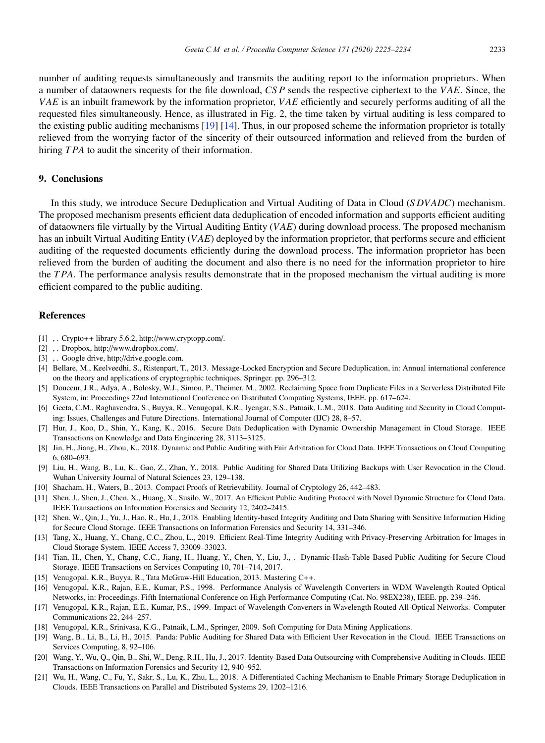number of auditing requests simultaneously and transmits the auditing report to the information proprietors. When a number of dataowners requests for the file download, *CS P* sends the respective ciphertext to the *VAE*. Since, the *VAE* is an inbuilt framework by the information proprietor, *VAE* efficiently and securely performs auditing of all the requested files simultaneously. Hence, as illustrated in Fig. 2, the time taken by virtual auditing is less compared to the existing public auditing mechanisms [19] [14]. Thus, in our proposed scheme the information proprietor is totally relieved from the worrying factor of the sincerity of their outsourced information and relieved from the burden of hiring *TPA* to audit the sincerity of their information.

## 9. Conclusions

In this study, we introduce Secure Deduplication and Virtual Auditing of Data in Cloud (*S DVADC*) mechanism. The proposed mechanism presents efficient data deduplication of encoded information and supports efficient auditing of dataowners file virtually by the Virtual Auditing Entity (*VAE*) during download process. The proposed mechanism has an inbuilt Virtual Auditing Entity (*VAE*) deployed by the information proprietor, that performs secure and efficient auditing of the requested documents efficiently during the download process. The information proprietor has been relieved from the burden of auditing the document and also there is no need for the information proprietor to hire the *TPA*. The performance analysis results demonstrate that in the proposed mechanism the virtual auditing is more efficient compared to the public auditing.

## References

- [1] , . Crypto++ library 5.6.2, http://www.cryptopp.com/.
- [2] , . Dropbox, http://www.dropbox.com/.
- [3] , . Google drive, http://drive.google.com.
- [4] Bellare, M., Keelveedhi, S., Ristenpart, T., 2013. Message-Locked Encryption and Secure Deduplication, in: Annual international conference on the theory and applications of cryptographic techniques, Springer. pp. 296–312.
- [5] Douceur, J.R., Adya, A., Bolosky, W.J., Simon, P., Theimer, M., 2002. Reclaiming Space from Duplicate Files in a Serverless Distributed File System, in: Proceedings 22nd International Conference on Distributed Computing Systems, IEEE. pp. 617–624.
- [6] Geeta, C.M., Raghavendra, S., Buyya, R., Venugopal, K.R., Iyengar, S.S., Patnaik, L.M., 2018. Data Auditing and Security in Cloud Computing: Issues, Challenges and Future Directions. International Journal of Computer (IJC) 28, 8–57.
- [7] Hur, J., Koo, D., Shin, Y., Kang, K., 2016. Secure Data Deduplication with Dynamic Ownership Management in Cloud Storage. IEEE Transactions on Knowledge and Data Engineering 28, 3113–3125.
- [8] Jin, H., Jiang, H., Zhou, K., 2018. Dynamic and Public Auditing with Fair Arbitration for Cloud Data. IEEE Transactions on Cloud Computing 6, 680–693.
- [9] Liu, H., Wang, B., Lu, K., Gao, Z., Zhan, Y., 2018. Public Auditing for Shared Data Utilizing Backups with User Revocation in the Cloud. Wuhan University Journal of Natural Sciences 23, 129–138.
- [10] Shacham, H., Waters, B., 2013. Compact Proofs of Retrievability. Journal of Cryptology 26, 442–483.
- [11] Shen, J., Shen, J., Chen, X., Huang, X., Susilo, W., 2017. An Efficient Public Auditing Protocol with Novel Dynamic Structure for Cloud Data. IEEE Transactions on Information Forensics and Security 12, 2402–2415.
- [12] Shen, W., Qin, J., Yu, J., Hao, R., Hu, J., 2018. Enabling Identity-based Integrity Auditing and Data Sharing with Sensitive Information Hiding for Secure Cloud Storage. IEEE Transactions on Information Forensics and Security 14, 331–346.
- [13] Tang, X., Huang, Y., Chang, C.C., Zhou, L., 2019. Efficient Real-Time Integrity Auditing with Privacy-Preserving Arbitration for Images in Cloud Storage System. IEEE Access 7, 33009–33023.
- [14] Tian, H., Chen, Y., Chang, C.C., Jiang, H., Huang, Y., Chen, Y., Liu, J., . Dynamic-Hash-Table Based Public Auditing for Secure Cloud Storage. IEEE Transactions on Services Computing 10, 701–714, 2017.
- [15] Venugopal, K.R., Buyya, R., Tata McGraw-Hill Education, 2013. Mastering C++.
- [16] Venugopal, K.R., Rajan, E.E., Kumar, P.S., 1998. Performance Analysis of Wavelength Converters in WDM Wavelength Routed Optical Networks, in: Proceedings. Fifth International Conference on High Performance Computing (Cat. No. 98EX238), IEEE. pp. 239–246.
- [17] Venugopal, K.R., Rajan, E.E., Kumar, P.S., 1999. Impact of Wavelength Converters in Wavelength Routed All-Optical Networks. Computer Communications 22, 244–257.
- [18] Venugopal, K.R., Srinivasa, K.G., Patnaik, L.M., Springer, 2009. Soft Computing for Data Mining Applications.
- [19] Wang, B., Li, B., Li, H., 2015. Panda: Public Auditing for Shared Data with Efficient User Revocation in the Cloud. IEEE Transactions on Services Computing, 8, 92–106.
- [20] Wang, Y., Wu, Q., Qin, B., Shi, W., Deng, R.H., Hu, J., 2017. Identity-Based Data Outsourcing with Comprehensive Auditing in Clouds. IEEE Transactions on Information Forensics and Security 12, 940–952.
- [21] Wu, H., Wang, C., Fu, Y., Sakr, S., Lu, K., Zhu, L., 2018. A Differentiated Caching Mechanism to Enable Primary Storage Deduplication in Clouds. IEEE Transactions on Parallel and Distributed Systems 29, 1202–1216.